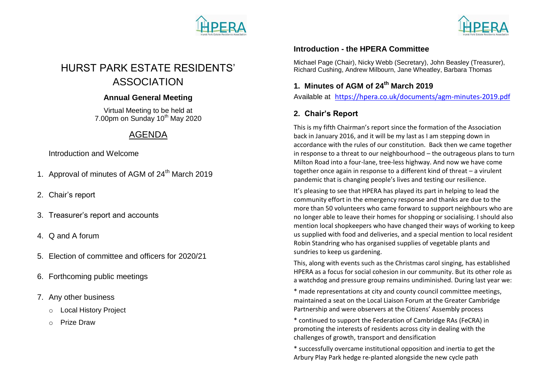



# HURST PARK ESTATE RESIDENTS' ASSOCIATION

#### **Annual General Meeting**

Virtual Meeting to be held at  $7.00$ pm on Sunday 10<sup>th</sup> May 2020

## AGENDA

Introduction and Welcome

- 1. Approval of minutes of AGM of 24<sup>th</sup> March 2019
- 2. Chair's report
- 3. Treasurer's report and accounts
- 4. Q and A forum
- 5. Election of committee and officers for 2020/21
- 6. Forthcoming public meetings
- 7. Any other business
	- o Local History Project
	- o Prize Draw

### **Introduction - the HPERA Committee**

Michael Page (Chair), Nicky Webb (Secretary), John Beasley (Treasurer), Richard Cushing, Andrew Milbourn, Jane Wheatley, Barbara Thomas

### **1. Minutes of AGM of 24th March 2019**

Available at <https://hpera.co.uk/documents/agm-minutes-2019.pdf>

### **2. Chair's Report**

This is my fifth Chairman's report since the formation of the Association back in January 2016, and it will be my last as I am stepping down in accordance with the rules of our constitution. Back then we came together in response to a threat to our neighbourhood – the outrageous plans to turn Milton Road into a four-lane, tree-less highway. And now we have come together once again in response to a different kind of threat – a virulent pandemic that is changing people's lives and testing our resilience.

It's pleasing to see that HPERA has played its part in helping to lead the community effort in the emergency response and thanks are due to the more than 50 volunteers who came forward to support neighbours who are no longer able to leave their homes for shopping or socialising. I should also mention local shopkeepers who have changed their ways of working to keep us supplied with food and deliveries, and a special mention to local resident Robin Standring who has organised supplies of vegetable plants and sundries to keep us gardening.

This, along with events such as the Christmas carol singing, has established HPERA as a focus for social cohesion in our community. But its other role as a watchdog and pressure group remains undiminished. During last year we:

\* made representations at city and county council committee meetings, maintained a seat on the Local Liaison Forum at the Greater Cambridge Partnership and were observers at the Citizens' Assembly process

\* continued to support the Federation of Cambridge RAs (FeCRA) in promoting the interests of residents across city in dealing with the challenges of growth, transport and densification

\* successfully overcame institutional opposition and inertia to get the Arbury Play Park hedge re-planted alongside the new cycle path